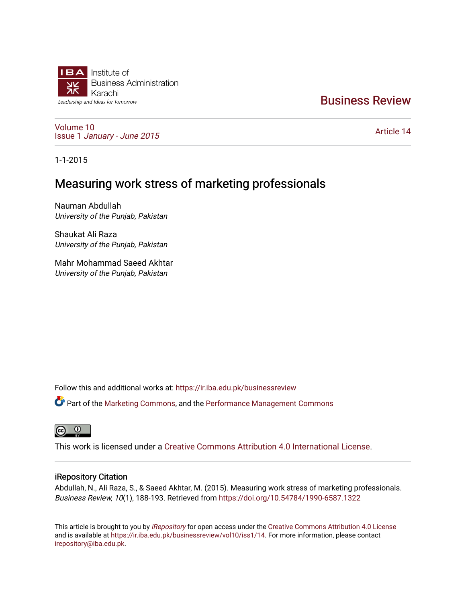

# [Business Review](https://ir.iba.edu.pk/businessreview)

[Volume 10](https://ir.iba.edu.pk/businessreview/vol10) Issue 1 [January - June 2015](https://ir.iba.edu.pk/businessreview/vol10/iss1) 

[Article 14](https://ir.iba.edu.pk/businessreview/vol10/iss1/14) 

1-1-2015

# Measuring work stress of marketing professionals

Nauman Abdullah University of the Punjab, Pakistan

Shaukat Ali Raza University of the Punjab, Pakistan

Mahr Mohammad Saeed Akhtar University of the Punjab, Pakistan

Follow this and additional works at: [https://ir.iba.edu.pk/businessreview](https://ir.iba.edu.pk/businessreview?utm_source=ir.iba.edu.pk%2Fbusinessreview%2Fvol10%2Fiss1%2F14&utm_medium=PDF&utm_campaign=PDFCoverPages) 

Part of the [Marketing Commons](http://network.bepress.com/hgg/discipline/638?utm_source=ir.iba.edu.pk%2Fbusinessreview%2Fvol10%2Fiss1%2F14&utm_medium=PDF&utm_campaign=PDFCoverPages), and the [Performance Management Commons](http://network.bepress.com/hgg/discipline/1256?utm_source=ir.iba.edu.pk%2Fbusinessreview%2Fvol10%2Fiss1%2F14&utm_medium=PDF&utm_campaign=PDFCoverPages)

**ම** 

This work is licensed under a [Creative Commons Attribution 4.0 International License](https://creativecommons.org/licenses/by/4.0/).

# iRepository Citation

Abdullah, N., Ali Raza, S., & Saeed Akhtar, M. (2015). Measuring work stress of marketing professionals. Business Review, 10(1), 188-193. Retrieved from <https://doi.org/10.54784/1990-6587.1322>

This article is brought to you by [iRepository](https://ir.iba.edu.pk/) for open access under the Creative Commons Attribution 4.0 License and is available at <https://ir.iba.edu.pk/businessreview/vol10/iss1/14>. For more information, please contact [irepository@iba.edu.pk.](mailto:irepository@iba.edu.pk)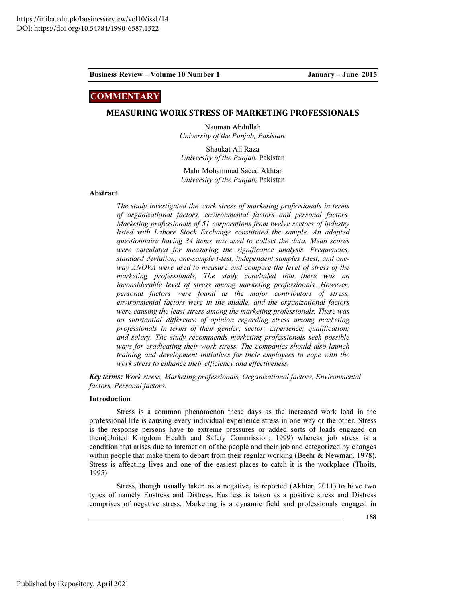# **COMMENTARY**

### MEASURING WORK STRESS OF MARKETING PROFESSIONALS

Nauman Abdullah University of the Punjab, Pakistan.

Shaukat Ali Raza University of the Punjab. Pakistan

Mahr Mohammad Saeed Akhtar University of the Punjab, Pakistan

### Abstract

The study investigated the work stress of marketing professionals in terms of organizational factors, environmental factors and personal factors. Marketing professionals of 51 corporations from twelve sectors of industry listed with Lahore Stock Exchange constituted the sample. An adapted questionnaire having 34 items was used to collect the data. Mean scores were calculated for measuring the significance analysis. Frequencies, standard deviation, one-sample t-test, independent samples t-test, and oneway ANOVA were used to measure and compare the level of stress of the marketing professionals. The study concluded that there was an inconsiderable level of stress among marketing professionals. However, personal factors were found as the major contributors of stress, environmental factors were in the middle, and the organizational factors were causing the least stress among the marketing professionals. There was no substantial difference of opinion regarding stress among marketing professionals in terms of their gender; sector; experience; qualification; and salary. The study recommends marketing professionals seek possible ways for eradicating their work stress. The companies should also launch training and development initiatives for their employees to cope with the work stress to enhance their efficiency and effectiveness.

Key terms: Work stress, Marketing professionals, Organizational factors, Environmental factors, Personal factors.

### Introduction

Stress is a common phenomenon these days as the increased work load in the professional life is causing every individual experience stress in one way or the other. Stress is the response persons have to extreme pressures or added sorts of loads engaged on them(United Kingdom Health and Safety Commission, 1999) whereas job stress is a condition that arises due to interaction of the people and their job and categorized by changes within people that make them to depart from their regular working (Beehr & Newman, 1978). Stress is affecting lives and one of the easiest places to catch it is the workplace (Thoits, 1995).

Stress, though usually taken as a negative, is reported (Akhtar, 2011) to have two types of namely Eustress and Distress. Eustress is taken as a positive stress and Distress comprises of negative stress. Marketing is a dynamic field and professionals engaged in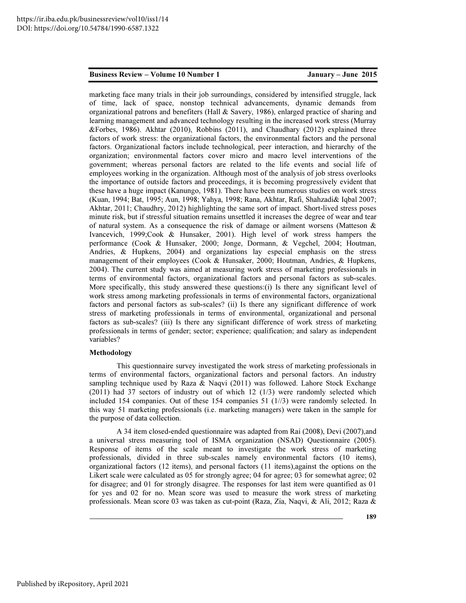marketing face many trials in their job surroundings, considered by intensified struggle, lack of time, lack of space, nonstop technical advancements, dynamic demands from organizational patrons and benefiters (Hall & Savery, 1986), enlarged practice of sharing and learning management and advanced technology resulting in the increased work stress (Murray &Forbes, 1986). Akhtar (2010), Robbins (2011), and Chaudhary (2012) explained three factors of work stress: the organizational factors, the environmental factors and the personal factors. Organizational factors include technological, peer interaction, and hierarchy of the organization; environmental factors cover micro and macro level interventions of the government; whereas personal factors are related to the life events and social life of employees working in the organization. Although most of the analysis of job stress overlooks the importance of outside factors and proceedings, it is becoming progressively evident that these have a huge impact (Kanungo, 1981). There have been numerous studies on work stress (Kuan, 1994; Bat, 1995; Aun, 1998; Yahya, 1998; Rana, Akhtar, Rafi, Shahzadi& Iqbal 2007; Akhtar, 2011; Chaudhry, 2012) highlighting the same sort of impact. Short-lived stress poses minute risk, but if stressful situation remains unsettled it increases the degree of wear and tear of natural system. As a consequence the risk of damage or ailment worsens (Matteson & Ivancevich, 1999;Cook & Hunsaker, 2001). High level of work stress hampers the performance (Cook & Hunsaker, 2000; Jonge, Dormann, & Vegchel, 2004; Houtman, Andries, & Hupkens, 2004) and organizations lay especial emphasis on the stress management of their employees (Cook & Hunsaker, 2000; Houtman, Andries, & Hupkens, 2004). The current study was aimed at measuring work stress of marketing professionals in terms of environmental factors, organizational factors and personal factors as sub-scales. More specifically, this study answered these questions:(i) Is there any significant level of work stress among marketing professionals in terms of environmental factors, organizational factors and personal factors as sub-scales? (ii) Is there any significant difference of work stress of marketing professionals in terms of environmental, organizational and personal factors as sub-scales? (iii) Is there any significant difference of work stress of marketing professionals in terms of gender; sector; experience; qualification; and salary as independent variables?

### Methodology

This questionnaire survey investigated the work stress of marketing professionals in terms of environmental factors, organizational factors and personal factors. An industry sampling technique used by Raza & Naqvi (2011) was followed. Lahore Stock Exchange (2011) had 37 sectors of industry out of which 12 (1/3) were randomly selected which included 154 companies. Out of these 154 companies 51 (1//3) were randomly selected. In this way 51 marketing professionals (i.e. marketing managers) were taken in the sample for the purpose of data collection.

A 34 item closed-ended questionnaire was adapted from Rai (2008), Devi (2007),and a universal stress measuring tool of ISMA organization (NSAD) Questionnaire (2005). Response of items of the scale meant to investigate the work stress of marketing professionals, divided in three sub-scales namely environmental factors (10 items), organizational factors (12 items), and personal factors (11 items),against the options on the Likert scale were calculated as 05 for strongly agree; 04 for agree; 03 for somewhat agree; 02 for disagree; and 01 for strongly disagree. The responses for last item were quantified as 01 for yes and 02 for no. Mean score was used to measure the work stress of marketing professionals. Mean score 03 was taken as cut-point (Raza, Zia, Naqvi, & Ali, 2012; Raza &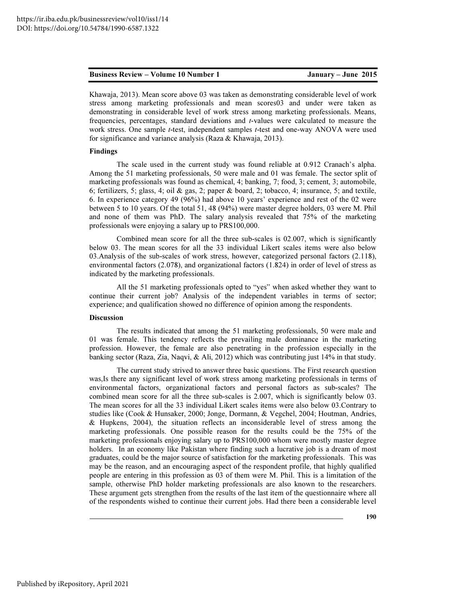Khawaja, 2013). Mean score above 03 was taken as demonstrating considerable level of work stress among marketing professionals and mean scores03 and under were taken as demonstrating in considerable level of work stress among marketing professionals. Means, frequencies, percentages, standard deviations and t-values were calculated to measure the work stress. One sample t-test, independent samples t-test and one-way ANOVA were used for significance and variance analysis (Raza & Khawaja, 2013).

## Findings

The scale used in the current study was found reliable at 0.912 Cranach's alpha. Among the 51 marketing professionals, 50 were male and 01 was female. The sector split of marketing professionals was found as chemical, 4; banking, 7; food, 3; cement, 3; automobile, 6; fertilizers, 5; glass, 4; oil & gas, 2; paper & board, 2; tobacco, 4; insurance, 5; and textile, 6. In experience category 49 (96%) had above 10 years' experience and rest of the 02 were between 5 to 10 years. Of the total 51, 48 (94%) were master degree holders, 03 were M. Phil and none of them was PhD. The salary analysis revealed that 75% of the marketing professionals were enjoying a salary up to PRS100,000.

Combined mean score for all the three sub-scales is 02.007, which is significantly below 03. The mean scores for all the 33 individual Likert scales items were also below 03.Analysis of the sub-scales of work stress, however, categorized personal factors (2.118), environmental factors (2.078), and organizational factors (1.824) in order of level of stress as indicated by the marketing professionals.

All the 51 marketing professionals opted to "yes" when asked whether they want to continue their current job? Analysis of the independent variables in terms of sector; experience; and qualification showed no difference of opinion among the respondents.

### Discussion

The results indicated that among the 51 marketing professionals, 50 were male and 01 was female. This tendency reflects the prevailing male dominance in the marketing profession. However, the female are also penetrating in the profession especially in the banking sector (Raza, Zia, Naqvi, & Ali, 2012) which was contributing just 14% in that study.

The current study strived to answer three basic questions. The First research question was,Is there any significant level of work stress among marketing professionals in terms of environmental factors, organizational factors and personal factors as sub-scales? The combined mean score for all the three sub-scales is 2.007, which is significantly below 03. The mean scores for all the 33 individual Likert scales items were also below 03.Contrary to studies like (Cook & Hunsaker, 2000; Jonge, Dormann, & Vegchel, 2004; Houtman, Andries, & Hupkens, 2004), the situation reflects an inconsiderable level of stress among the marketing professionals. One possible reason for the results could be the 75% of the marketing professionals enjoying salary up to PRS100,000 whom were mostly master degree holders. In an economy like Pakistan where finding such a lucrative job is a dream of most graduates, could be the major source of satisfaction for the marketing professionals. This was may be the reason, and an encouraging aspect of the respondent profile, that highly qualified people are entering in this profession as 03 of them were M. Phil. This is a limitation of the sample, otherwise PhD holder marketing professionals are also known to the researchers. These argument gets strengthen from the results of the last item of the questionnaire where all of the respondents wished to continue their current jobs. Had there been a considerable level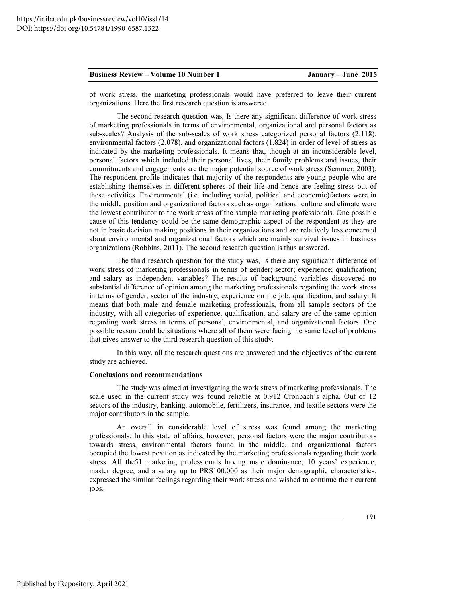of work stress, the marketing professionals would have preferred to leave their current organizations. Here the first research question is answered.

The second research question was, Is there any significant difference of work stress of marketing professionals in terms of environmental, organizational and personal factors as sub-scales? Analysis of the sub-scales of work stress categorized personal factors (2.118), environmental factors (2.078), and organizational factors (1.824) in order of level of stress as indicated by the marketing professionals. It means that, though at an inconsiderable level, personal factors which included their personal lives, their family problems and issues, their commitments and engagements are the major potential source of work stress (Semmer, 2003). The respondent profile indicates that majority of the respondents are young people who are establishing themselves in different spheres of their life and hence are feeling stress out of these activities. Environmental (i.e. including social, political and economic)factors were in the middle position and organizational factors such as organizational culture and climate were the lowest contributor to the work stress of the sample marketing professionals. One possible cause of this tendency could be the same demographic aspect of the respondent as they are not in basic decision making positions in their organizations and are relatively less concerned about environmental and organizational factors which are mainly survival issues in business organizations (Robbins, 2011). The second research question is thus answered.

The third research question for the study was, Is there any significant difference of work stress of marketing professionals in terms of gender; sector; experience; qualification; and salary as independent variables? The results of background variables discovered no substantial difference of opinion among the marketing professionals regarding the work stress in terms of gender, sector of the industry, experience on the job, qualification, and salary. It means that both male and female marketing professionals, from all sample sectors of the industry, with all categories of experience, qualification, and salary are of the same opinion regarding work stress in terms of personal, environmental, and organizational factors. One possible reason could be situations where all of them were facing the same level of problems that gives answer to the third research question of this study.

In this way, all the research questions are answered and the objectives of the current study are achieved.

### Conclusions and recommendations

The study was aimed at investigating the work stress of marketing professionals. The scale used in the current study was found reliable at 0.912 Cronbach's alpha. Out of 12 sectors of the industry, banking, automobile, fertilizers, insurance, and textile sectors were the major contributors in the sample.

An overall in considerable level of stress was found among the marketing professionals. In this state of affairs, however, personal factors were the major contributors towards stress, environmental factors found in the middle, and organizational factors occupied the lowest position as indicated by the marketing professionals regarding their work stress. All the51 marketing professionals having male dominance; 10 years' experience; master degree; and a salary up to PRS100,000 as their major demographic characteristics, expressed the similar feelings regarding their work stress and wished to continue their current jobs.

191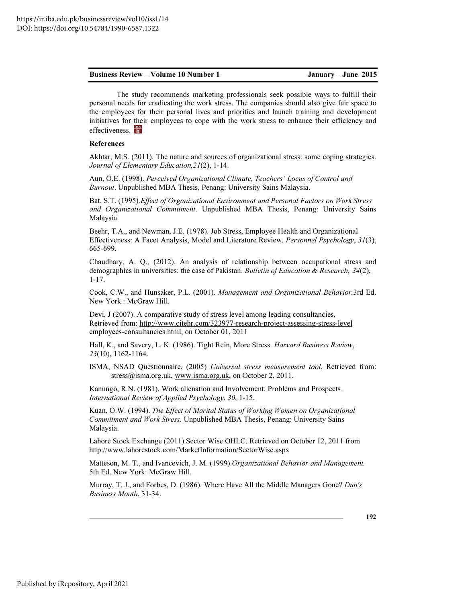The study recommends marketing professionals seek possible ways to fulfill their personal needs for eradicating the work stress. The companies should also give fair space to the employees for their personal lives and priorities and launch training and development initiatives for their employees to cope with the work stress to enhance their efficiency and effectiveness.

### References

Akhtar, M.S. (2011). The nature and sources of organizational stress: some coping strategies. Journal of Elementary Education,21(2), 1-14.

Aun, O.E. (1998). Perceived Organizational Climate, Teachers' Locus of Control and Burnout. Unpublished MBA Thesis, Penang: University Sains Malaysia.

Bat, S.T. (1995).Effect of Organizational Environment and Personal Factors on Work Stress and Organizational Commitment. Unpublished MBA Thesis, Penang: University Sains Malaysia.

Beehr, T.A., and Newman, J.E. (1978). Job Stress, Employee Health and Organizational Effectiveness: A Facet Analysis, Model and Literature Review. Personnel Psychology, 31(3), 665-699.

Chaudhary, A. Q., (2012). An analysis of relationship between occupational stress and demographics in universities: the case of Pakistan. Bulletin of Education & Research,  $34(2)$ , 1-17.

Cook, C.W., and Hunsaker, P.L. (2001). Management and Organizational Behavior.3rd Ed. New York : McGraw Hill.

Devi, J (2007). A comparative study of stress level among leading consultancies, Retrieved from: http://www.citehr.com/323977-research-project-assessing-stress-level employees-consultancies.html, on October 01, 2011

Hall, K., and Savery, L. K. (1986). Tight Rein, More Stress. Harvard Business Review, 23(10), 1162-1164.

ISMA, NSAD Questionnaire, (2005) Universal stress measurement tool, Retrieved from: stress@isma.org.uk, www.isma.org.uk, on October 2, 2011.

Kanungo, R.N. (1981). Work alienation and Involvement: Problems and Prospects. International Review of Applied Psychology, 30, 1-15.

Kuan, O.W. (1994). The Effect of Marital Status of Working Women on Organizational Commitment and Work Stress. Unpublished MBA Thesis, Penang: University Sains Malaysia.

Lahore Stock Exchange (2011) Sector Wise OHLC. Retrieved on October 12, 2011 from http://www.lahorestock.com/MarketInformation/SectorWise.aspx

Matteson, M. T., and Ivancevich, J. M. (1999). Organizational Behavior and Management. 5th Ed. New York: McGraw Hill.

Murray, T. J., and Forbes, D. (1986). Where Have All the Middle Managers Gone? Dun's Business Month, 31-34.